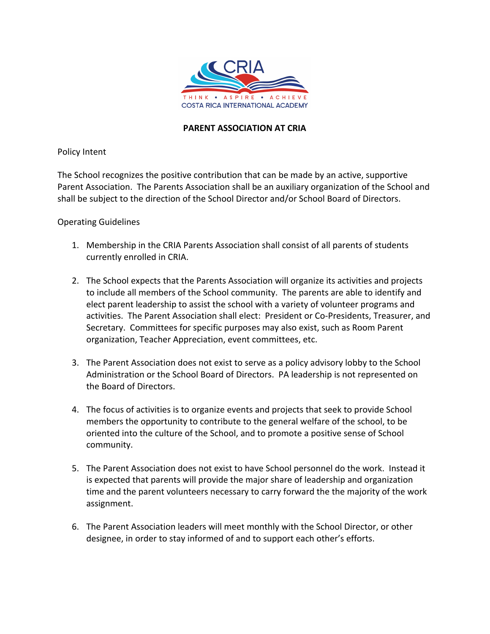

## **PARENT ASSOCIATION AT CRIA**

Policy Intent

The School recognizes the positive contribution that can be made by an active, supportive Parent Association. The Parents Association shall be an auxiliary organization of the School and shall be subject to the direction of the School Director and/or School Board of Directors.

## Operating Guidelines

- 1. Membership in the CRIA Parents Association shall consist of all parents of students currently enrolled in CRIA.
- 2. The School expects that the Parents Association will organize its activities and projects to include all members of the School community. The parents are able to identify and elect parent leadership to assist the school with a variety of volunteer programs and activities. The Parent Association shall elect: President or Co-Presidents, Treasurer, and Secretary. Committees for specific purposes may also exist, such as Room Parent organization, Teacher Appreciation, event committees, etc.
- 3. The Parent Association does not exist to serve as a policy advisory lobby to the School Administration or the School Board of Directors. PA leadership is not represented on the Board of Directors.
- 4. The focus of activities is to organize events and projects that seek to provide School members the opportunity to contribute to the general welfare of the school, to be oriented into the culture of the School, and to promote a positive sense of School community.
- 5. The Parent Association does not exist to have School personnel do the work. Instead it is expected that parents will provide the major share of leadership and organization time and the parent volunteers necessary to carry forward the the majority of the work assignment.
- 6. The Parent Association leaders will meet monthly with the School Director, or other designee, in order to stay informed of and to support each other's efforts.